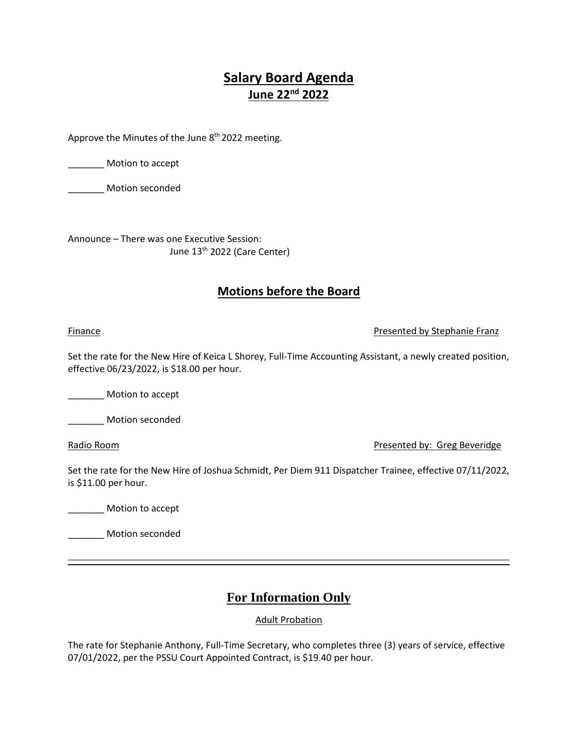# **Salary Board Agenda June 22nd 2022**

Approve the Minutes of the June 8<sup>th</sup> 2022 meeting.

\_\_\_\_\_\_\_ Motion to accept

\_\_\_\_\_\_\_ Motion seconded

Announce – There was one Executive Session: June 13th 2022 (Care Center)

### **Motions before the Board**

#### Finance **Presented by Stephanie Franz**

Set the rate for the New Hire of Keica L Shorey, Full-Time Accounting Assistant, a newly created position, effective 06/23/2022, is \$18.00 per hour.

Motion to accept

\_\_\_\_\_\_\_ Motion seconded

Radio Room Presented by: Greg Beveridge

Set the rate for the New Hire of Joshua Schmidt, Per Diem 911 Dispatcher Trainee, effective 07/11/2022, is \$11.00 per hour.

\_\_\_\_\_\_\_ Motion to accept

\_\_\_\_\_\_\_ Motion seconded

## **For Information Only**

Adult Probation

The rate for Stephanie Anthony, Full-Time Secretary, who completes three (3) years of service, effective 07/01/2022, per the PSSU Court Appointed Contract, is \$19.40 per hour.